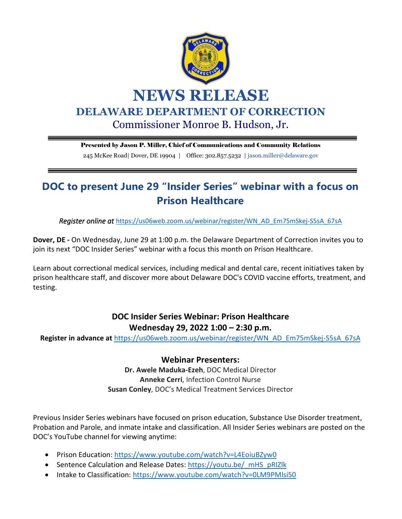

Presented by Jason P. Miller, Chief of Communications and Community Relations

245 McKee Road| Dover, DE 19904 | Office: 302.857.5232 | jason.miller@delaware.gov

## **DOC to present June 29 "Insider Series" webinar with a focus on Prison Healthcare**

*Register online at* [https://us06web.zoom.us/webinar/register/WN\\_AD\\_Em75mSkej-S5sA\\_67sA](https://gcc02.safelinks.protection.outlook.com/?url=https%3A%2F%2Fus06web.zoom.us%2Fwebinar%2Fregister%2FWN_AD_Em75mSkej-S5sA_67sA&data=05%7C01%7Csamantha.solloway%40delaware.gov%7Cb2512fbefbae4b5a9d4b08da4a12cda1%7C8c09e56951c54deeabb28b99c32a4396%7C0%7C0%7C637903741943843966%7CUnknown%7CTWFpbGZsb3d8eyJWIjoiMC4wLjAwMDAiLCJQIjoiV2luMzIiLCJBTiI6Ik1haWwiLCJXVCI6Mn0%3D%7C3000%7C%7C%7C&sdata=P63K5sOGoIeK6iKbV%2FX2erwyLHVrxeClUwbGWBOMNVg%3D&reserved=0)

**Dover, DE -** On Wednesday, June 29 at 1:00 p.m. the Delaware Department of Correction invites you to join its next "DOC Insider Series" webinar with a focus this month on Prison Healthcare.

Learn about correctional medical services, including medical and dental care, recent initiatives taken by prison healthcare staff, and discover more about Delaware DOC's COVID vaccine efforts, treatment, and testing.

## **DOC Insider Series Webinar: Prison Healthcare Wednesday 29, 2022 1:00 – 2:30 p.m.**

**Register in advance at** [https://us06web.zoom.us/webinar/register/WN\\_AD\\_Em75mSkej-S5sA\\_67sA](https://gcc02.safelinks.protection.outlook.com/?url=https%3A%2F%2Fus06web.zoom.us%2Fwebinar%2Fregister%2FWN_AD_Em75mSkej-S5sA_67sA&data=05%7C01%7Csamantha.solloway%40delaware.gov%7Cb2512fbefbae4b5a9d4b08da4a12cda1%7C8c09e56951c54deeabb28b99c32a4396%7C0%7C0%7C637903741943843966%7CUnknown%7CTWFpbGZsb3d8eyJWIjoiMC4wLjAwMDAiLCJQIjoiV2luMzIiLCJBTiI6Ik1haWwiLCJXVCI6Mn0%3D%7C3000%7C%7C%7C&sdata=P63K5sOGoIeK6iKbV%2FX2erwyLHVrxeClUwbGWBOMNVg%3D&reserved=0)

**Webinar Presenters:**

**Dr. Awele Maduka-Ezeh**, DOC Medical Director **Anneke Cerri**, Infection Control Nurse **Susan Conley**, DOC's Medical Treatment Services Director

Previous Insider Series webinars have focused on prison education, Substance Use Disorder treatment, Probation and Parole, and inmate intake and classification. All Insider Series webinars are posted on the DOC's YouTube channel for viewing anytime:

- Prison Education:<https://www.youtube.com/watch?v=L4EoiuBZyw0>
- Sentence Calculation and Release Dates: https://youtu.be/ mHS\_pRIZlk
- Intake to Classification:<https://www.youtube.com/watch?v=0LM9PMlsi50>